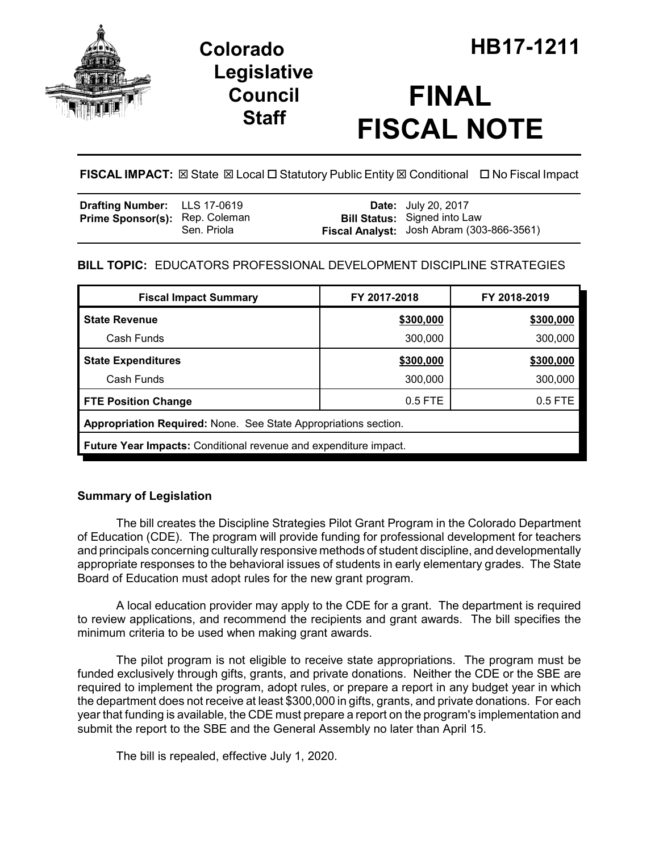

## **Legislative Council Staff**

# **FINAL FISCAL NOTE**

**FISCAL IMPACT:** ⊠ State ⊠ Local □ Statutory Public Entity ⊠ Conditional □ No Fiscal Impact

| <b>Drafting Number:</b> LLS 17-0619   |             | <b>Date:</b> July 20, 2017                                                       |
|---------------------------------------|-------------|----------------------------------------------------------------------------------|
| <b>Prime Sponsor(s): Rep. Coleman</b> | Sen. Priola | <b>Bill Status:</b> Signed into Law<br>Fiscal Analyst: Josh Abram (303-866-3561) |

## **BILL TOPIC:** EDUCATORS PROFESSIONAL DEVELOPMENT DISCIPLINE STRATEGIES

| <b>Fiscal Impact Summary</b>                                            | FY 2017-2018 | FY 2018-2019 |  |  |  |
|-------------------------------------------------------------------------|--------------|--------------|--|--|--|
| <b>State Revenue</b>                                                    | \$300,000    | \$300,000    |  |  |  |
| Cash Funds                                                              | 300,000      | 300,000      |  |  |  |
| <b>State Expenditures</b>                                               | \$300,000    | \$300,000    |  |  |  |
| Cash Funds                                                              | 300,000      | 300,000      |  |  |  |
| <b>FTE Position Change</b>                                              | $0.5$ FTE    | 0.5 FTE      |  |  |  |
| Appropriation Required: None. See State Appropriations section.         |              |              |  |  |  |
| <b>Future Year Impacts:</b> Conditional revenue and expenditure impact. |              |              |  |  |  |

### **Summary of Legislation**

The bill creates the Discipline Strategies Pilot Grant Program in the Colorado Department of Education (CDE). The program will provide funding for professional development for teachers and principals concerning culturally responsive methods of student discipline, and developmentally appropriate responses to the behavioral issues of students in early elementary grades. The State Board of Education must adopt rules for the new grant program.

A local education provider may apply to the CDE for a grant. The department is required to review applications, and recommend the recipients and grant awards. The bill specifies the minimum criteria to be used when making grant awards.

The pilot program is not eligible to receive state appropriations. The program must be funded exclusively through gifts, grants, and private donations. Neither the CDE or the SBE are required to implement the program, adopt rules, or prepare a report in any budget year in which the department does not receive at least \$300,000 in gifts, grants, and private donations. For each year that funding is available, the CDE must prepare a report on the program's implementation and submit the report to the SBE and the General Assembly no later than April 15.

The bill is repealed, effective July 1, 2020.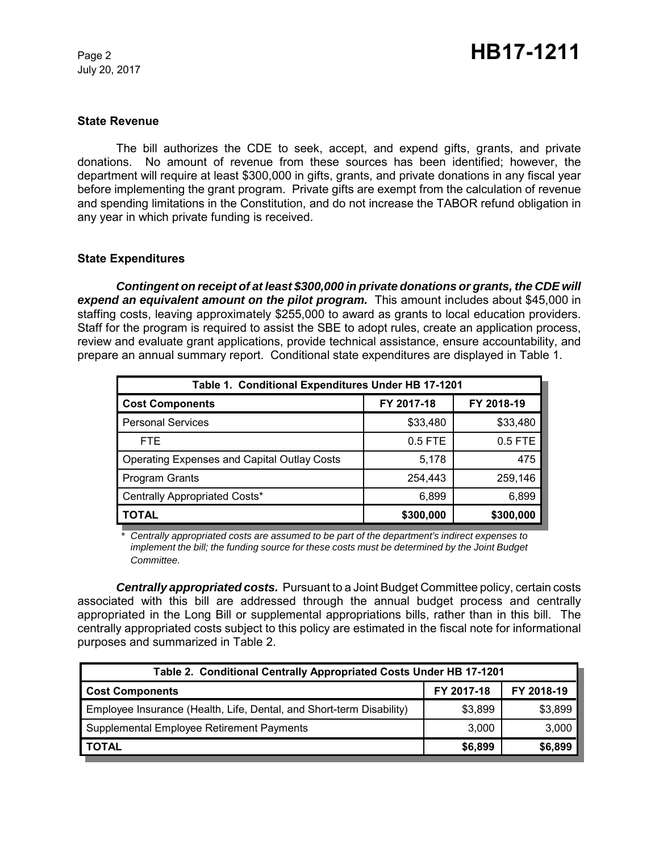July 20, 2017

#### **State Revenue**

The bill authorizes the CDE to seek, accept, and expend gifts, grants, and private donations. No amount of revenue from these sources has been identified; however, the department will require at least \$300,000 in gifts, grants, and private donations in any fiscal year before implementing the grant program. Private gifts are exempt from the calculation of revenue and spending limitations in the Constitution, and do not increase the TABOR refund obligation in any year in which private funding is received.

#### **State Expenditures**

*Contingent on receipt of at least \$300,000 in private donations or grants, the CDE will expend an equivalent amount on the pilot program.* This amount includes about \$45,000 in staffing costs, leaving approximately \$255,000 to award as grants to local education providers. Staff for the program is required to assist the SBE to adopt rules, create an application process, review and evaluate grant applications, provide technical assistance, ensure accountability, and prepare an annual summary report. Conditional state expenditures are displayed in Table 1.

| Table 1. Conditional Expenditures Under HB 17-1201 |            |            |  |  |  |
|----------------------------------------------------|------------|------------|--|--|--|
| <b>Cost Components</b>                             | FY 2017-18 | FY 2018-19 |  |  |  |
| <b>Personal Services</b>                           | \$33,480   | \$33,480   |  |  |  |
| <b>FTE</b>                                         | $0.5$ FTE  | 0.5 FTE    |  |  |  |
| <b>Operating Expenses and Capital Outlay Costs</b> | 5,178      | 475        |  |  |  |
| Program Grants                                     | 254,443    | 259,146    |  |  |  |
| Centrally Appropriated Costs*                      | 6,899      | 6,899      |  |  |  |
| <b>TOTAL</b>                                       | \$300,000  | \$300,000  |  |  |  |

*\* Centrally appropriated costs are assumed to be part of the department's indirect expenses to implement the bill; the funding source for these costs must be determined by the Joint Budget Committee.*

*Centrally appropriated costs.* Pursuant to a Joint Budget Committee policy, certain costs associated with this bill are addressed through the annual budget process and centrally appropriated in the Long Bill or supplemental appropriations bills, rather than in this bill. The centrally appropriated costs subject to this policy are estimated in the fiscal note for informational purposes and summarized in Table 2.

| Table 2. Conditional Centrally Appropriated Costs Under HB 17-1201   |            |            |  |  |  |
|----------------------------------------------------------------------|------------|------------|--|--|--|
| <b>Cost Components</b>                                               | FY 2017-18 | FY 2018-19 |  |  |  |
| Employee Insurance (Health, Life, Dental, and Short-term Disability) | \$3,899    | \$3,899    |  |  |  |
| Supplemental Employee Retirement Payments                            | 3.000      | 3,000      |  |  |  |
| <b>TOTAL</b>                                                         | \$6,899    | \$6,899    |  |  |  |